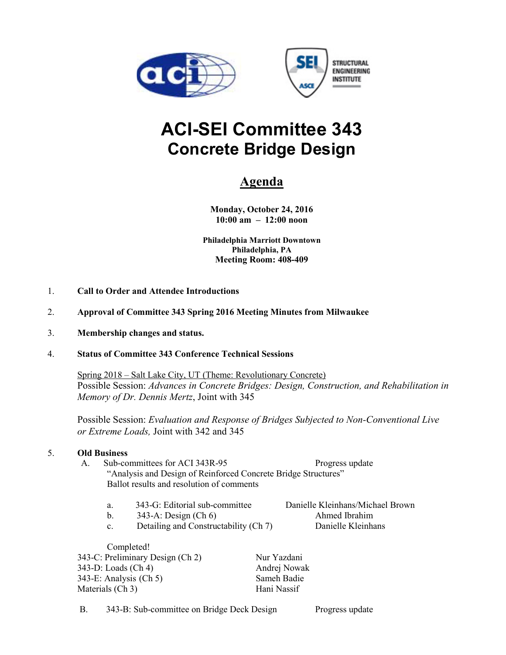



# **ACI-SEI Committee 343 Concrete Bridge Design**

## **Agenda**

**Monday, October 24, 2016 10:00 am – 12:00 noon** 

**Philadelphia Marriott Downtown Philadelphia, PA Meeting Room: 408-409** 

- 1. **Call to Order and Attendee Introductions**
- 2. **Approval of Committee 343 Spring 2016 Meeting Minutes from Milwaukee**
- 3. **Membership changes and status.**

### 4. **Status of Committee 343 Conference Technical Sessions**

Spring 2018 – Salt Lake City, UT (Theme: Revolutionary Concrete) Possible Session: *Advances in Concrete Bridges: Design, Construction, and Rehabilitation in Memory of Dr. Dennis Mertz*, Joint with 345

Possible Session: *Evaluation and Response of Bridges Subjected to Non-Conventional Live or Extreme Loads,* Joint with 342 and 345

### 5. **Old Business**

- A. Sub-committees for ACI 343R-95 Progress update "Analysis and Design of Reinforced Concrete Bridge Structures" Ballot results and resolution of comments
	- a. 343-G: Editorial sub-committee Danielle Kleinhans/Michael Brown
	- b. 343-A: Design (Ch 6) Ahmed Ibrahim

c. Detailing and Constructability (Ch 7) Danielle Kleinhans

Completed! 343-C: Preliminary Design (Ch 2) Nur Yazdani 343-D: Loads (Ch 4) Andrej Nowak<br>343-E: Analysis (Ch 5) Sameh Badie  $343-E:$  Analysis (Ch 5) Materials (Ch 3) Hani Nassif

B. 343-B: Sub-committee on Bridge Deck Design Progress update